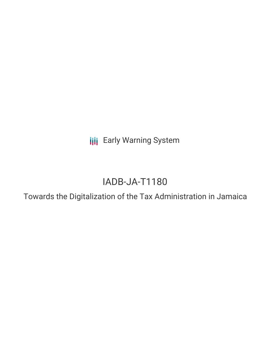**III** Early Warning System

# IADB-JA-T1180

Towards the Digitalization of the Tax Administration in Jamaica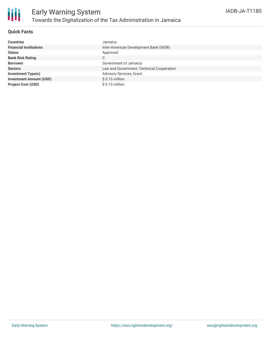

### **Quick Facts**

| <b>Countries</b>               | Jamaica                                   |
|--------------------------------|-------------------------------------------|
| <b>Financial Institutions</b>  | Inter-American Development Bank (IADB)    |
| <b>Status</b>                  | Approved                                  |
| <b>Bank Risk Rating</b>        | С                                         |
| <b>Borrower</b>                | Government of Jamaica                     |
| <b>Sectors</b>                 | Law and Government, Technical Cooperation |
| <b>Investment Type(s)</b>      | Advisory Services, Grant                  |
| <b>Investment Amount (USD)</b> | $$0.15$ million                           |
| <b>Project Cost (USD)</b>      | $$0.15$ million                           |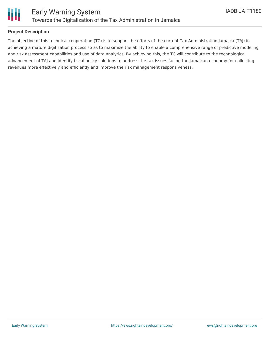

### **Project Description**

The objective of this technical cooperation (TC) is to support the efforts of the current Tax Administration Jamaica (TAJ) in achieving a mature digitization process so as to maximize the ability to enable a comprehensive range of predictive modeling and risk assessment capabilities and use of data analytics. By achieving this, the TC will contribute to the technological advancement of TAJ and identify fiscal policy solutions to address the tax issues facing the Jamaican economy for collecting revenues more effectively and efficiently and improve the risk management responsiveness.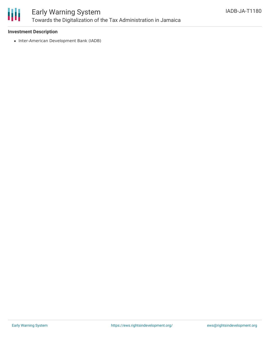

## Early Warning System Towards the Digitalization of the Tax Administration in Jamaica

### **Investment Description**

• Inter-American Development Bank (IADB)